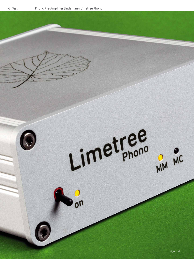Limetree

 $\frac{1}{2}$ 

LP 6-2018

MM MC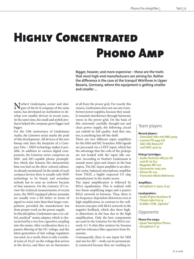# Highly Concentrated Phono Amp

**Bigger, heavier, and more expensive – these are the traits that most high-end manufacturers are aiming for. Rather the difference is the case at the tranquil Wörthsee in Upper Bavaria, Germany, where the equipment is getting smaller and smaller …**

Norbert Lindemann, owner and desi-gner of the hi-fi company of the same name, has developed an inclination to develop ever smaller devices in recent years. At the same time, his small and stylish products helped the company grow bigger and bigger.

For the 25th anniversary of Lindemann Audio, the Limetree series marks the peak of this development. All devices of the new lineup only have the footprint of a Compact Disc – SMD technology makes it possible. In addition to various digital components, the Limetree series comprises an MM- and MC-capable phono preamplifier, which also features the characteristic lime tree leaf on the silver-colored cabinet. As already mentioned: In the inside of such compact devices there is usually only SMD technology to be found, and nowadays nobody has to raise an eyebrow because of that anymore. On the contrary: If I review the technical measurements of recent years, the SMD-equipped phono preamps are usually even a bit better in terms of signal-to-noise ratio than their larger competitors; provided the manufacturer has done proper work on the power supply.

In this discipline, Lindemann uses a so-called "medical" mains adapter, which is characterized by a very low capacitive coupling into the mains. After rectification there is a passive filtering of the DC voltage, and the latest generation of fast voltage regulators was used. As a result, there is only a residual noise of  $10 \mu V$  on the voltage that arrives in the device, and there are no harmonics at all from the power grid. For exactly this reason, Lindemann does not use any transformer power supplies, because they usually transmit interference through harmonic waves in the power grid. On the basis of this extremely carefully thought-out and clean power supply, the following circuit can unfold its full quality. And that one, too, is anything but off-the-shelf.

There are two different input amplifiers for the MM and MC branches: MM signals are processed via a J-FET input, which has the advantage that the coils of the pickups are not loaded with the input idle current. According to Norbert Lindemann it sounds more open and clearer in the bass region. The MC input amplifier is an ultralow-noise, balanced microphone amplifier from THAT, a highly respected US chip manufacturer in the studio sector.

The input amplification is followed by RIAA equalization. This is realized with two linear amplifying stages and a passive RIAA network in between. Thus, there is no frequency-dependent distortion even at high amplification, in contrast to the wellknown concepts with RIAA network in the negative feedback, which also show higher distortions in the bass due to the high amplification. Only the best components are used in the Limetree for the RIAA network: 0.1 % thin film resistors by Susumu and low tolerance film capacitors from Panasonic.

Consequently, there is one input for MM and one for MC – both can be permanently connected because they are working in-

## Team players

#### **Record players:**

- **· Transrotor Alto mit SME 5009**
- **· Luxman PD-444 mit**
- **SAEC WE-8000/ST**
- **und SAEC 407/23**

#### **Pickup Cartridges:**

- **· Audio-Technica VM 510 CB und AT 20 SLa**
- **· Nagaoka MP-100**
- **· Dynavector 10x5 neo**
- **· Denon DL-103**
- **· Transrotor Merlo Reference**

#### **Amplifiers:**

**· Accuphase C-2420, A-47**

#### **Loudspeakers:**

- **· Audio Physic Avantera III**
- **· Thivan Labs Eros-9**
- $\cdot$  KLANG+TON "Ophelia"

## Opponents

#### **Phono Pre-amps:**

- **· Quad Twentyfour Phono**
- **· Accuphase C-37**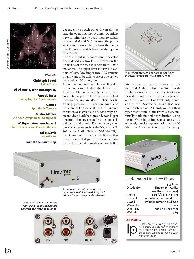



Music Christoph Bouet **Skyline Drive**

Al Di Meola, John McLaughlin,

Paco de Lucia **Friday Night in San Francisco**

> Gomez **Split the Difference**

Gustav Mahler **Die neun Symphonien, Georg Solti**

Wolfgang Amadeus Mozart **Waisenhausmesse, Claudio Abbado**

> Miles Davis **Milestones**

Jazz at the Pawnshop

dependently of each other. If you do not read the operating instructions, you might have to think briefly about how to switch between MM and MC: Pressing the power switch for a longer time allows the Limetree Phono to switch between the operating modes.

The MC input impedance can be selected finely dosed via two DIP-switches on the underside of the case. It ranges from 100 to 800 ohms. The upper limit is okay, but owners of very low-impedance MC systems might want to be able to select one or two steps below 100 ohms, too.

From the first moment in the listening room you can tell that the Lindemann Limetree Phono is simply a very, very good phono preamplifier, whose excellent measured values are also beneficial for listening pleasure – distortion, hum and noise are not an issue at all. The dynamic merits are also great: On of such a very clean and deep black background, even bigger dynamics than are generally stored on a vinyl disc could unfold. Even with very simple MM systems such as the Nagaoka MP-100 or the Audio-Technica VM 510 CB, a lot of listening fun is the result, and that in such a way that you sit and wonder how the heck this could possibly get any better.



*A minimum of controls on the front panel - one switch for switching on / off and for operating mode selection*

*The usual connections at the rear, including the generously dimensioned earthing terminal*





*The stylized leaf can be found on the lid of all devices of the pretty Limetree series*

Well, a direct comparison shows that the good old Audio Technica AT20SLa with its Shibata needle manages to extract even more detail information out of the groove. With the excellent low-level output version of the Dynavector classic 10x5 neo (coil resistance of 32 Ohm), you can then experiment quite a bit: From a rich, minimally dark timbral reproduction using the 160 Ohm input impedance, to a crisp, extremely precise representation with 400 Ohm, the Limetree Phono can be set up



| - Price:          | 595 Euro                |
|-------------------|-------------------------|
| · Distributor     | Lindemann Audio,        |
|                   | Wörthsee (Germany)      |
| · Phone           | +49 (0) 8193 9533399    |
| $\cdot$ Internet  | www.lindemann-audio.de  |
| · E-Mail          | info@lindemann-audio.de |
| · Warranty        | 2 years                 |
| $\cdot$ W x H x D | 107 X 50 X 120 mm       |
| · Weight:         | 0.3 kg                  |
|                   |                         |

### **All in all …**